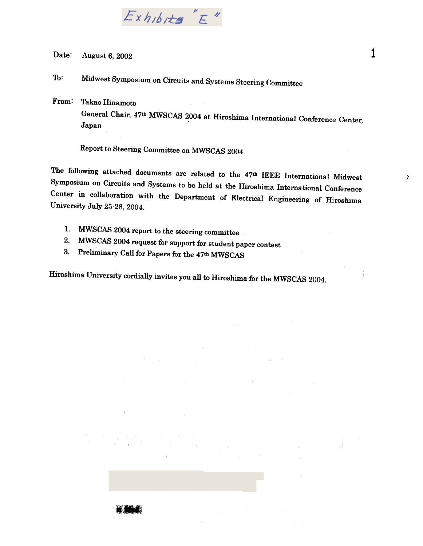

Date: August 6, 2002  $1$ 

To: Midwest Symposium on Circuits and Systems Steering Committee

From: Takao Hinamoto General Chair, 47th MWSCAS 2004 at Hiroshima International Conference Center, Japan

Report to Steering Committee on MWSCAS 2004

The following attached documents are related to the 47th IEEE International Midwest Symposium on Circuits and Systems to be held at the Hiroshima International Conference Center in collaboration with the Department of Electrical Engineering of Hiroshima University July 25-28, 2004.

- 1. MWSCAS 2004 report to the steering committee
- 2. MWSCAS 2004 request for support for student paper contest
- 3. Preliminary Call for Papers for the 47th MWSCAS

**Controlled Bank** 

Hiroshima University cordially invites you all to Hiroshima for the MWSCAS 2004.

 $\mathcal{L}(\mathcal{L})$  .

: .

 $\overline{ }$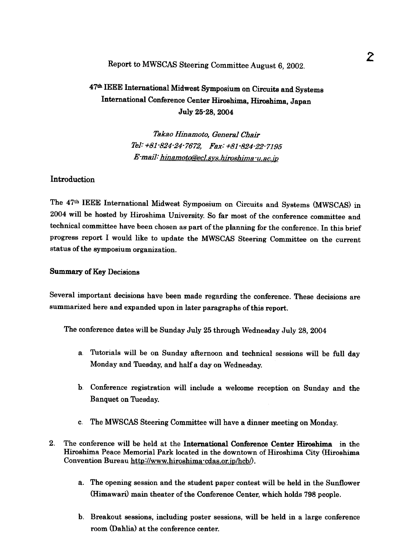# Report to MWSCAS Steering Committee August 6, 2002.

# 47th IEEE: International Midwest Symposium on Circuits and Systems International Conference Center Hiroshima, Hiroshima, Japan July 25-28, 2004

Takao Hinamoto, General Chair 181: +81-824-24-7672, Fax: +81-824-22-7195  $E$ -mail: hinamoto@ecl.sys.hiroshima  $u$ .ac. ip

### **Introduction**

The 47th IEEE International Midwest Symposium on Circuits and Systems (MWSCAS) in 2004 will be hosted by Hiroshima University. So far most of the conference committee and technical committee have been chosen as part of the planning for the conference. In this brief progress report I would like to update the MWSCAS Steering Committee on the current status of the symposium organization.

#### Summary of Key Decisions

Several important decisions have been made regarding the conference. These decisions are summarized here and expanded upon in later paragraphs of this report.

The conference dates will be Sunday July 25 through Wednesday July 28, 2004

- a. Tutorials will be on Sunday afternoon and technical sessions will be full day Monday and Tuesday, and half a day on Wednesday.
- b. Conference registration will include a welcome reception on Sunday and the Banquet on Tuesday.
- c. The MWSCAS Steering Committee will have a dinner meeting on Monday.
- 2. The conference will be held at the International Conference Center Hiroshima in the Hiroshima Peace Memorial Park located in the downtown of Hiroshima City (Hiroshima Convention Bureau http://www.hiroshima-cdas.or.jp/hcb/).
	- The opening session and the student paper contest will be held in the Sunflower a. (Himawari) main theater of the Conference Center, which holds 798 people.
	- b. Breakout sessions, including poster sessions, will be held in a large conference room (Dahlia) at the conference center.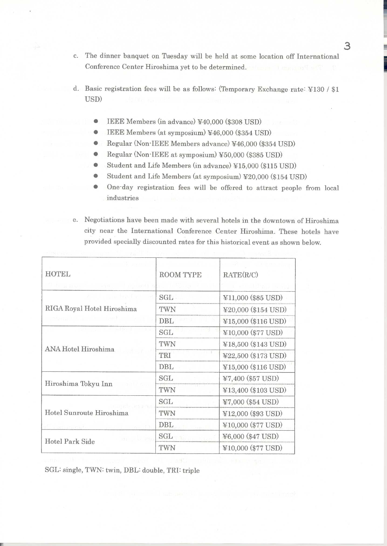- c. The dinner banquet on Tuesday will be held at some location off International Conference Center Hiroshima yet to be determined.
- d. Basic registration fees will be as follows: (Temporary Exchange rate: ¥130 / \$1 USD)
	- IEEE Members (in advance) ¥40,000 (\$308 USD)
	- IEEE Members (at symposium) ¥46,000 (\$354 USD)  $\bullet$
	- $\bullet$ Regular (Non-IEEE Members advance) ¥46,000 (\$354 USD)
	- Regular (Non-IEEE at symposium) ¥50,000 (\$385 USD) 6
	- Student and Life Members (in advance) ¥15,000 (\$115 USD)
	- Student and Life Members (at symposium) ¥20,000 (\$154 USD) ۸
	- One-day registration fees will be offered to attract people from local ⊜ industries
- e. Negotiations have been made with several hotels in the downtown of Hiroshima city near the International Conference Center Hiroshima. These hotels have provided specially discounted rates for this historical event as shown below.

| <b>HOTEL</b><br><b>DOLLAR YEAR</b> | <b>ROOM TYPE</b> | RATE(R/C)           |  |
|------------------------------------|------------------|---------------------|--|
| as a free for                      | SGL              | ¥11,000 (\$85 USD)  |  |
| RIGA Royal Hotel Hiroshima         | TWN              | ¥20,000 (\$154 USD) |  |
|                                    | DBL              | ¥15,000 (\$116 USD) |  |
| <b>ANA Hotel Hiroshima</b>         | SGL              | ¥10,000 (\$77 USD)  |  |
|                                    | TWN              | ¥18,500 (\$143 USD) |  |
|                                    | TRI              | ¥22,500 (\$173 USD) |  |
|                                    | DBL              | ¥15,000 (\$116 USD) |  |
|                                    | <b>SGL</b>       | ¥7,400 (\$57 USD)   |  |
| Hiroshima Tokyu Inn                | TWN              | ¥13,400 (\$103 USD) |  |
| Hotel Sunroute Hiroshima           | SGL              | ¥7,000 (\$54 USD)   |  |
|                                    | TWN              | ¥12,000 (\$93 USD)  |  |
|                                    | DBL              | ¥10,000 (\$77 USD)  |  |
|                                    | <b>SGL</b>       | ¥6,000 (\$47 USD)   |  |
| <b>Hotel Park Side</b>             | TWN              | ¥10,000 (\$77 USD)  |  |

SGL: single, TWN: twin, DBL: double, TRI: triple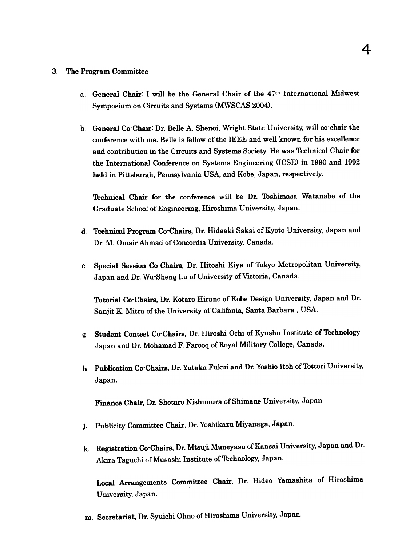#### 3, The Program Committee

- a. General Chair: I will be the General Chair of the 47th International Midwest Symposium on Circuits and Systems (MWSCAS 2004).
- General Co.Chair: Dr. Belle A. Shenoi, Wright State University, will co'chair the conference with me. Belle is fellow of the IEEE and well known for his excellence and contribution in the Circuits and Systems Society. He was Technical Chair for the International Conference on Systems Engineering (ICSE) in 1990 and 1992 held in Pittsburgh, Pennsylvania USA, and Kobe, Japan, respectively.

Technical Chair for the conference will be Dr. Toshimasa Watanabe of the Graduate School of Engineering, Hiroshima University, Japan.

- d Technical Program Co-Chairs, Dr. Hideaki Sakai of Kyoto University, Japan and Dr. M. Omair Ahmad of Concordia University, Canada.
- e. Special Session Co-Chairs, Dr. Hitoshi Kiya of Tokyo Metropolitan University Japan and Dr. Wu.Sheng Lu of University of Victoria, Canada.

1Utorial Co'Chairs, Dr. Kotaro Hirano of Kobe Design University, Japan and Dr. Sanjit K. Mitra of the University of Califonia, Santa Barbara, USA.

- Student Contest Co.Chairs, Dr. Hiroshi Ochi of Kyushu Institute of Technology g. Japan and Dr. Mohamad F. Farooq of Royal Military College, Canada.
- h. Publication Co<sup>-</sup>Chairs, Dr. Yutaka Fukui and Dr. Yoshio Itoh of Tottori University, Japan.

- j. Publicity Committee Chair, Dr. Yoshikazu Miyanaga, Japan.
- Finance Chair, Dr. Shotaro Nishimura of Shimane University, Japan<br>
1. Publicity Committee Chair, Dr. Yoshikazu Miyanaga, Japan.<br>
1. Registration Co Chairs, Dr. Mtsuji Muneyasu of Kansai University, J<br>
Akira Taguchi of Musa Registration Co. Chairs, Dr. Mtsuji Muneyasu of Kansai University, Japan and Dr. Akira Taguchi of Musashi Institute of Technology, Japan.

Local Arrangements Committee Chair, Dr. Hideo Yamashita of Hiroshima University, Japan.

m. Secretariat, Dr. Syuichi Ohno of Hiroshima University, Japan,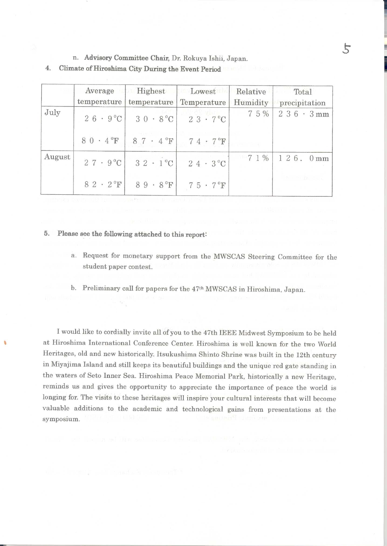n. Advisory Committee Chair, Dr. Rokuya Ishii, Japan.

Climate of Hiroshima City During the Event Period  $4.$ 

|        | Average<br>temperature      | Highest<br>temperature                      | Lowest<br>Temperature        | Relative<br>Humidity | Total<br>precipitation   |
|--------|-----------------------------|---------------------------------------------|------------------------------|----------------------|--------------------------|
| July   |                             | $26 \cdot 9^{\circ}C$ 30 $\cdot 8^{\circ}C$ | $23 \cdot 7^{\circ}C$        | 7 5 %                | $236 \cdot 3 \text{ mm}$ |
|        | $80 \cdot 4$ <sup>o</sup> F | $87 \cdot 4$ <sup>o</sup> F                 | $74 \cdot 7$ <sup>o</sup> F  |                      |                          |
| August |                             | $27 \cdot 9^{\circ}C$ 32 $\cdot 1^{\circ}C$ | $24 \cdot 3^{\circ}$ C       | 71%                  | $126.0 \text{mm}$        |
|        | $82 \cdot 2$ <sup>o</sup> F | $89 \cdot 8$ <sup>o</sup> F                 | $7.5 \cdot 7$ <sup>°</sup> F |                      | to min our               |

5. Please see the following attached to this report:

> a. Request for monetary support from the MWSCAS Steering Committee for the student paper contest.

b. Preliminary call for papers for the 47th MWSCAS in Hiroshima, Japan.

I would like to cordially invite all of you to the 47th IEEE Midwest Symposium to be held at Hiroshima International Conference Center. Hiroshima is well known for the two World Heritages, old and new historically. Itsukushima Shinto Shrine was built in the 12th century in Miyajima Island and still keeps its beautiful buildings and the unique red gate standing in the waters of Seto Inner Sea. Hiroshima Peace Memorial Park, historically a new Heritage, reminds us and gives the opportunity to appreciate the importance of peace the world is longing for. The visits to these heritages will inspire your cultural interests that will become valuable additions to the academic and technological gains from presentations at the symposium.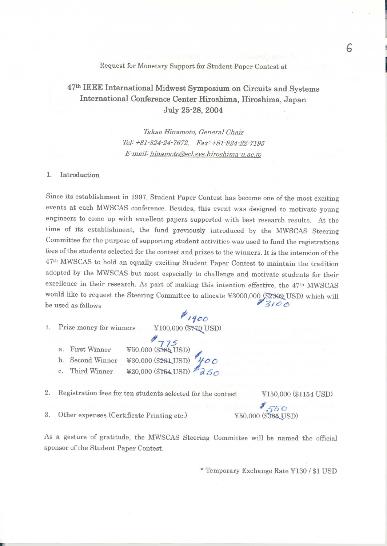Request for Monetary Support for Student Paper Contest at

# 47th IEEE International Midwest Symposium on Circuits and Systems International Conference Center Hiroshima, Hiroshima, Japan July 25-28, 2004

Takao Hinamoto, General Chair Tel: +81-824-24-7672, Fax: +81-824-22-7195 E-mail: hinamoto@ecl.sys.hiroshima-u.ac.jp

#### 1. Introduction

Since its establishment in 1997, Student Paper Contest has become one of the most exciting events at each MWSCAS conference. Besides, this event was designed to motivate young engineers to come up with excellent papers supported with best research results. At the time of its establishment, the fund previously introduced by the MWSCAS Steering Committee for the purpose of supporting student activities was used to fund the registrations fees of the students selected for the contest and prizes to the winners. It is the intension of the 47th MWSCAS to hold an equally exciting Student Paper Contest to maintain the tradition adopted by the MWSCAS but most especially to challenge and motivate students for their excellence in their research. As part of making this intention effective, the 47th MWSCAS would like to request the Steering Committee to allocate ¥3000,000 (\$2309 USD) which will  $83100$ be used as follows

1. Prize money for winners

 $41400$ ¥100,000 (\$770 USD)

- $450,000$  (\$385 USD) a. First Winner
- ¥30,000 (\$231USD) 400 b. Second Winner
- ¥20,000 (\$154 USD) Third Winner  $\mathcal{C}$ .
- $2.$ Registration fees for ten students selected for the contest

¥150,000 (\$1154 USD)

3. Other expenses (Certificate Printing etc.)

 $1550$ ¥50,000 (\$385 USD)

As a gesture of gratitude, the MWSCAS Steering Committee will be named the official sponsor of the Student Paper Contest.

\* Temporary Exchange Rate ¥130 / \$1 USD